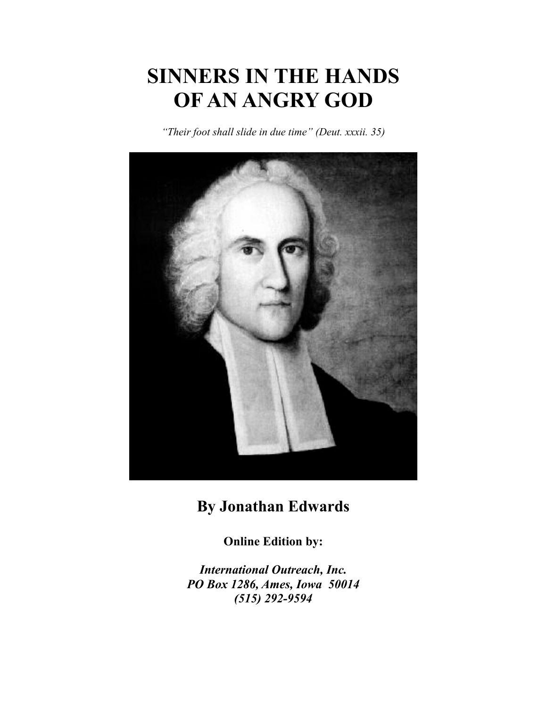# **SINNERS IN THE HANDS OF AN ANGRY GOD**

*"Their foot shall slide in due time" (Deut. xxxii. 35)*



## **By Jonathan Edwards**

**Online Edition by:**

*International Outreach, Inc. PO Box 1286, Ames, Iowa 50014 (515) 292-9594*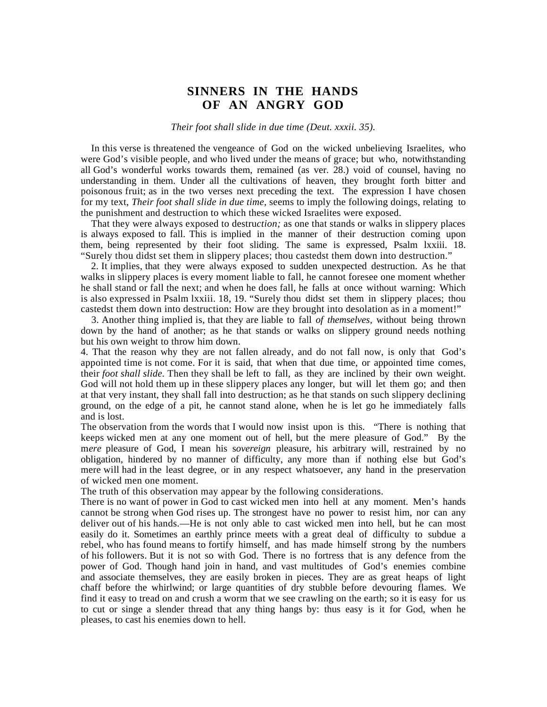### **SINNERS IN THE HANDS OF AN ANGRY GOD**

#### *Their foot shall slide in due time (Deut. xxxii. 35).*

 In this verse is threatened the vengeance of God on the wicked unbelieving Israelites, who were God's visible people, and who lived under the means of grace; but who, notwithstanding all God's wonderful works towards them, remained (as ver. 28.) void of counsel, having no understanding in them. Under all the cultivations of heaven, they brought forth bitter and poisonous fruit; as in the two verses next preceding the text. The expression I have chosen for my text, *Their foot shall slide in due time,* seems to imply the following doings, relating to the punishment and destruction to which these wicked Israelites were exposed.

 That they were always exposed to destru*ction;* as one that stands or walks in slippery places is always exposed to fall. This is implied in the manner of their destruction coming upon them, being represented by their foot sliding. The same is expressed, Psalm lxxiii. 18. "Surely thou didst set them in slippery places; thou castedst them down into destruction."

 2. It implies, that they were always exposed to sudden unexpected destruction. As he that walks in slippery places is every moment liable to fall, he cannot foresee one moment whether he shall stand or fall the next; and when he does fall, he falls at once without warning: Which is also expressed in Psalm lxxiii. 18, 19. "Surely thou didst set them in slippery places; thou castedst them down into destruction: How are they brought into desolation as in a moment!"

 3. Another thing implied is, that they are liable to fall *of themselves,* without being thrown down by the hand of another; as he that stands or walks on slippery ground needs nothing but his own weight to throw him down.

4. That the reason why they are not fallen already, and do not fall now, is only that God's appointed time is not come. For it is said, that when that due time, or appointed time comes, their *foot shall slide.* Then they shall be left to fall, as they are inclined by their own weight. God will not hold them up in these slippery places any longer, but will let them go; and then at that very instant, they shall fall into destruction; as he that stands on such slippery declining ground, on the edge of a pit, he cannot stand alone, when he is let go he immediately falls and is lost.

The observation from the words that I would now insist upon is this. "There is nothing that keeps wicked men at any one moment out of hell, but the mere pleasure of God." By the m*ere* pleasure of God, I mean his s*overeign* pleasure, his arbitrary will, restrained by no obligation, hindered by no manner of difficulty, any more than if nothing else but God's mere will had in the least degree, or in any respect whatsoever, any hand in the preservation of wicked men one moment.

The truth of this observation may appear by the following considerations.

There is no want of power in God to cast wicked men into hell at any moment. Men's hands cannot be strong when God rises up. The strongest have no power to resist him, nor can any deliver out of his hands.—He is not only able to cast wicked men into hell, but he can most easily do it. Sometimes an earthly prince meets with a great deal of difficulty to subdue a rebel, who has found means to fortify himself, and has made himself strong by the numbers of his followers. But it is not so with God. There is no fortress that is any defence from the power of God. Though hand join in hand, and vast multitudes of God's enemies combine and associate themselves, they are easily broken in pieces. They are as great heaps of light chaff before the whirlwind; or large quantities of dry stubble before devouring flames. We find it easy to tread on and crush a worm that we see crawling on the earth; so it is easy for us to cut or singe a slender thread that any thing hangs by: thus easy is it for God, when he pleases, to cast his enemies down to hell.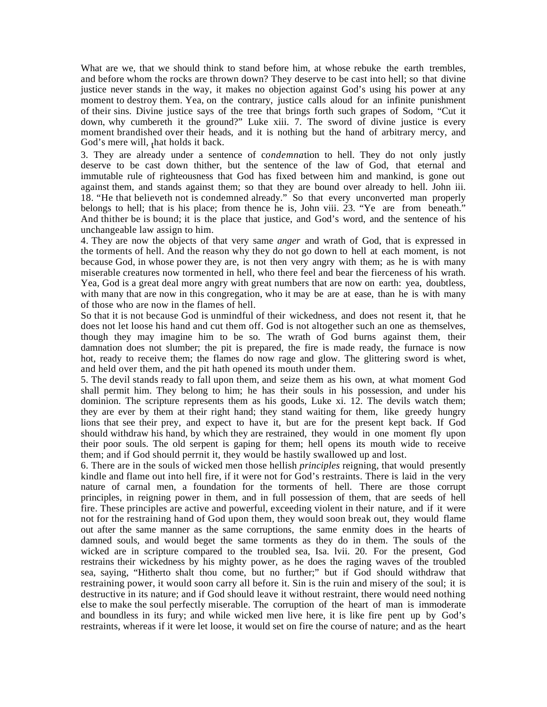What are we, that we should think to stand before him, at whose rebuke the earth trembles, and before whom the rocks are thrown down? They deserve to be cast into hell; so that divine justice never stands in the way, it makes no objection against God's using his power at any moment to destroy them. Yea, on the contrary, justice calls aloud for an infinite punishment of their sins. Divine justice says of the tree that brings forth such grapes of Sodom, "Cut it down, why cumbereth it the ground?" Luke xiii. 7. The sword of divine justice is every moment brandished over their heads, and it is nothing but the hand of arbitrary mercy, and God's mere will,  $<sub>1</sub>$  hat holds it back.</sub>

3. They are already under a sentence of c*ondemna*tion to hell. They do not only justly deserve to be cast down thither, but the sentence of the law of God, that eternal and immutable rule of righteousness that God has fixed between him and mankind, is gone out against them, and stands against them; so that they are bound over already to hell. John iii. 18. "He that believeth not is condemned already." So that every unconverted man properly belongs to hell; that is his place; from thence he is, John viii. 23. "Ye are from beneath." And thither be is bound; it is the place that justice, and God's word, and the sentence of his unchangeable law assign to him.

4. They are now the objects of that very same *anger* and wrath of God, that is expressed in the torments of hell. And the reason why they do not go down to hell at each moment, is not because God, in whose power they are, is not then very angry with them; as he is with many miserable creatures now tormented in hell, who there feel and bear the fierceness of his wrath. Yea, God is a great deal more angry with great numbers that are now on earth: yea, doubtless, with many that are now in this congregation, who it may be are at ease, than he is with many of those who are now in the flames of hell.

So that it is not because God is unmindful of their wickedness, and does not resent it, that he does not let loose his hand and cut them off. God is not altogether such an one as themselves, though they may imagine him to be so. The wrath of God burns against them, their damnation does not slumber; the pit is prepared, the fire is made ready, the furnace is now hot, ready to receive them; the flames do now rage and glow. The glittering sword is whet, and held over them, and the pit hath opened its mouth under them.

5. The devil stands ready to fall upon them, and seize them as his own, at what moment God shall permit him. They belong to him; he has their souls in his possession, and under his dominion. The scripture represents them as his goods, Luke xi. 12. The devils watch them; they are ever by them at their right hand; they stand waiting for them, like greedy hungry lions that see their prey, and expect to have it, but are for the present kept back. If God should withdraw his hand, by which they are restrained, they would in one moment fly upon their poor souls. The old serpent is gaping for them; hell opens its mouth wide to receive them; and if God should perrnit it, they would be hastily swallowed up and lost.

6. There are in the souls of wicked men those hellish *principles* reigning, that would presently kindle and flame out into hell fire, if it were not for God's restraints. There is laid in the very nature of carnal men, a foundation for the torments of hell. There are those corrupt principles, in reigning power in them, and in full possession of them, that are seeds of hell fire. These principles are active and powerful, exceeding violent in their nature, and if it were not for the restraining hand of God upon them, they would soon break out, they would flame out after the same manner as the same corruptions, the same enmity does in the hearts of damned souls, and would beget the same torments as they do in them. The souls of the wicked are in scripture compared to the troubled sea, Isa. lvii. 20. For the present, God restrains their wickedness by his mighty power, as he does the raging waves of the troubled sea, saying, "Hitherto shalt thou come, but no further;" but if God should withdraw that restraining power, it would soon carry all before it. Sin is the ruin and misery of the soul; it is destructive in its nature; and if God should leave it without restraint, there would need nothing else to make the soul perfectly miserable. The corruption of the heart of man is immoderate and boundless in its fury; and while wicked men live here, it is like fire pent up by God's restraints, whereas if it were let loose, it would set on fire the course of nature; and as the heart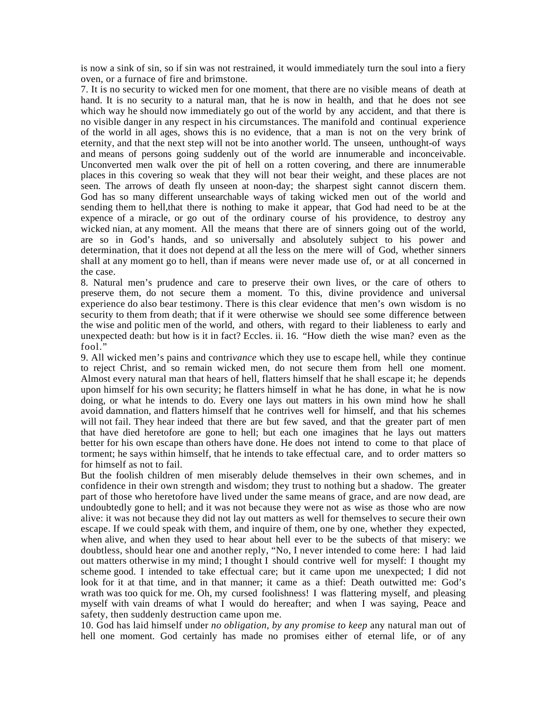is now a sink of sin, so if sin was not restrained, it would immediately turn the soul into a fiery oven, or a furnace of fire and brimstone.

7. It is no security to wicked men for one moment, that there are no visible means of death at hand. It is no security to a natural man, that he is now in health, and that he does not see which way he should now immediately go out of the world by any accident, and that there is no visible danger in any respect in his circumstances. The manifold and continual experience of the world in all ages, shows this is no evidence, that a man is not on the very brink of eternity, and that the next step will not be into another world. The unseen, unthought-of ways and means of persons going suddenly out of the world are innumerable and inconceivable. Unconverted men walk over the pit of hell on a rotten covering, and there are innumerable places in this covering so weak that they will not bear their weight, and these places are not seen. The arrows of death fly unseen at noon-day; the sharpest sight cannot discern them. God has so many different unsearchable ways of taking wicked men out of the world and sending them to hell,that there is nothing to make it appear, that God had need to be at the expence of a miracle, or go out of the ordinary course of his providence, to destroy any wicked nian, at any moment. All the means that there are of sinners going out of the world, are so in God's hands, and so universally and absolutely subject to his power and determination, that it does not depend at all the less on the mere will of God, whether sinners shall at any moment go to hell, than if means were never made use of, or at all concerned in the case.

8. Natural men's prudence and care to preserve their own lives, or the care of others to preserve them, do not secure them a moment. To this, divine providence and universal experience do also bear testimony. There is this clear evidence that men's own wisdom is no security to them from death; that if it were otherwise we should see some difference between the wise and politic men of the world, and others, with regard to their liableness to early and unexpected death: but how is it in fact? Eccles. ii. 16. "How dieth the wise man? even as the fool."

9. All wicked men's pains and contri*vance* which they use to escape hell, while they continue to reject Christ, and so remain wicked men, do not secure them from hell one moment. Almost every natural man that hears of hell, flatters himself that he shall escape it; he depends upon himself for his own security; he flatters himself in what he has done, in what he is now doing, or what he intends to do. Every one lays out matters in his own mind how he shall avoid damnation, and flatters himself that he contrives well for himself, and that his schemes will not fail. They hear indeed that there are but few saved, and that the greater part of men that have died heretofore are gone to hell; but each one imagines that he lays out matters better for his own escape than others have done. He does not intend to come to that place of torment; he says within himself, that he intends to take effectual care, and to order matters so for himself as not to fail.

But the foolish children of men miserably delude themselves in their own schemes, and in confidence in their own strength and wisdom; they trust to nothing but a shadow. The greater part of those who heretofore have lived under the same means of grace, and are now dead, are undoubtedly gone to hell; and it was not because they were not as wise as those who are now alive: it was not because they did not lay out matters as well for themselves to secure their own escape. If we could speak with them, and inquire of them, one by one, whether they expected, when alive, and when they used to hear about hell ever to be the subects of that misery: we doubtless, should hear one and another reply, "No, I never intended to come here: I had laid out matters otherwise in my mind; I thought I should contrive well for myself: I thought my scheme good. I intended to take effectual care; but it came upon me unexpected; I did not look for it at that time, and in that manner; it came as a thief: Death outwitted me: God's wrath was too quick for me. Oh, my cursed foolishness! I was flattering myself, and pleasing myself with vain dreams of what I would do hereafter; and when I was saying, Peace and safety, then suddenly destruction came upon me.

10. God has laid himself under *no obligation, by any promise to keep* any natural man out of hell one moment. God certainly has made no promises either of eternal life, or of any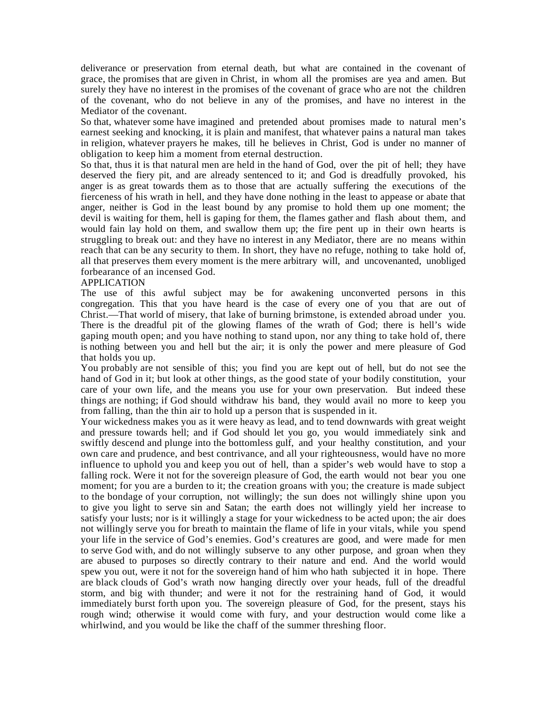deliverance or preservation from eternal death, but what are contained in the covenant of grace, the promises that are given in Christ, in whom all the promises are yea and amen. But surely they have no interest in the promises of the covenant of grace who are not the children of the covenant, who do not believe in any of the promises, and have no interest in the Mediator of the covenant.

So that, whatever some have imagined and pretended about promises made to natural men's earnest seeking and knocking, it is plain and manifest, that whatever pains a natural man takes in religion, whatever prayers he makes, till he believes in Christ, God is under no manner of obligation to keep him a moment from eternal destruction.

So that, thus it is that natural men are held in the hand of God, over the pit of hell; they have deserved the fiery pit, and are already sentenced to it; and God is dreadfully provoked, his anger is as great towards them as to those that are actually suffering the executions of the fierceness of his wrath in hell, and they have done nothing in the least to appease or abate that anger, neither is God in the least bound by any promise to hold them up one moment; the devil is waiting for them, hell is gaping for them, the flames gather and flash about them, and would fain lay hold on them, and swallow them up; the fire pent up in their own hearts is struggling to break out: and they have no interest in any Mediator, there are no means within reach that can be any security to them. In short, they have no refuge, nothing to take hold of, all that preserves them every moment is the mere arbitrary will, and uncovenanted, unobliged forbearance of an incensed God.

#### APPLICATION

The use of this awful subject may be for awakening unconverted persons in this congregation. This that you have heard is the case of every one of you that are out of Christ.—That world of misery, that lake of burning brimstone, is extended abroad under you. There is the dreadful pit of the glowing flames of the wrath of God; there is hell's wide gaping mouth open; and you have nothing to stand upon, nor any thing to take hold of, there is nothing between you and hell but the air; it is only the power and mere pleasure of God that holds you up.

You probably are not sensible of this; you find you are kept out of hell, but do not see the hand of God in it; but look at other things, as the good state of your bodily constitution, your care of your own life, and the means you use for your own preservation. But indeed these things are nothing; if God should withdraw his band, they would avail no more to keep you from falling, than the thin air to hold up a person that is suspended in it.

Your wickedness makes you as it were heavy as lead, and to tend downwards with great weight and pressure towards hell; and if God should let you go, you would immediately sink and swiftly descend and plunge into the bottomless gulf, and your healthy constitution, and your own care and prudence, and best contrivance, and all your righteousness, would have no more influence to uphold you and keep you out of hell, than a spider's web would have to stop a falling rock. Were it not for the sovereign pleasure of God, the earth would not bear you one moment; for you are a burden to it; the creation groans with you; the creature is made subject to the bondage of your corruption, not willingly; the sun does not willingly shine upon you to give you light to serve sin and Satan; the earth does not willingly yield her increase to satisfy your lusts; nor is it willingly a stage for your wickedness to be acted upon; the air does not willingly serve you for breath to maintain the flame of life in your vitals, while you spend your life in the service of God's enemies. God's creatures are good, and were made for men to serve God with, and do not willingly subserve to any other purpose, and groan when they are abused to purposes so directly contrary to their nature and end. And the world would spew you out, were it not for the sovereign hand of him who hath subjected it in hope. There are black clouds of God's wrath now hanging directly over your heads, full of the dreadful storm, and big with thunder; and were it not for the restraining hand of God, it would immediately burst forth upon you. The sovereign pleasure of God, for the present, stays his rough wind; otherwise it would come with fury, and your destruction would come like a whirlwind, and you would be like the chaff of the summer threshing floor.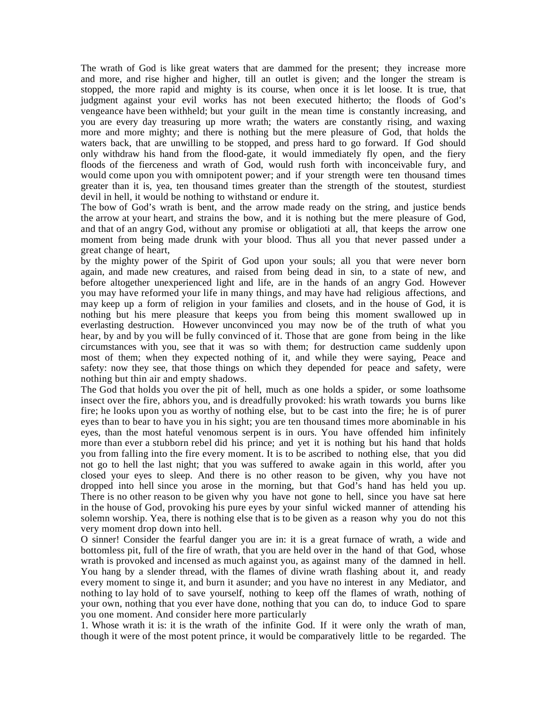The wrath of God is like great waters that are dammed for the present; they increase more and more, and rise higher and higher, till an outlet is given; and the longer the stream is stopped, the more rapid and mighty is its course, when once it is let loose. It is true, that judgment against your evil works has not been executed hitherto; the floods of God's vengeance have been withheld; but your guilt in the mean time is constantly increasing, and you are every day treasuring up more wrath; the waters are constantly rising, and waxing more and more mighty; and there is nothing but the mere pleasure of God, that holds the waters back, that are unwilling to be stopped, and press hard to go forward. If God should only withdraw his hand from the flood-gate, it would immediately fly open, and the fiery floods of the fierceness and wrath of God, would rush forth with inconceivable fury, and would come upon you with omnipotent power; and if your strength were ten thousand times greater than it is, yea, ten thousand times greater than the strength of the stoutest, sturdiest devil in hell, it would be nothing to withstand or endure it.

The bow of God's wrath is bent, and the arrow made ready on the string, and justice bends the arrow at your heart, and strains the bow, and it is nothing but the mere pleasure of God, and that of an angry God, without any promise or obligatioti at all, that keeps the arrow one moment from being made drunk with your blood. Thus all you that never passed under a great change of heart,

by the mighty power of the Spirit of God upon your souls; all you that were never born again, and made new creatures, and raised from being dead in sin, to a state of new, and before altogether unexperienced light and life, are in the hands of an angry God. However you may have reformed your life in many things, and may have had religious affections, and may keep up a form of religion in your families and closets, and in the house of God, it is nothing but his mere pleasure that keeps you from being this moment swallowed up in everlasting destruction. However unconvinced you may now be of the truth of what you hear, by and by you will be fully convinced of it. Those that are gone from being in the like circumstances with you, see that it was so with them; for destruction came suddenly upon most of them; when they expected nothing of it, and while they were saying, Peace and safety: now they see, that those things on which they depended for peace and safety, were nothing but thin air and empty shadows.

The God that holds you over the pit of hell, much as one holds a spider, or some loathsome insect over the fire, abhors you, and is dreadfully provoked: his wrath towards you burns like fire; he looks upon you as worthy of nothing else, but to be cast into the fire; he is of purer eyes than to bear to have you in his sight; you are ten thousand times more abominable in his eyes, than the most hateful venomous serpent is in ours. You have offended him infinitely more than ever a stubborn rebel did his prince; and yet it is nothing but his hand that holds you from falling into the fire every moment. It is to be ascribed to nothing else, that you did not go to hell the last night; that you was suffered to awake again in this world, after you closed your eyes to sleep. And there is no other reason to be given, why you have not dropped into hell since you arose in the morning, but that God's hand has held you up. There is no other reason to be given why you have not gone to hell, since you have sat here in the house of God, provoking his pure eyes by your sinful wicked manner of attending his solemn worship. Yea, there is nothing else that is to be given as a reason why you do not this very moment drop down into hell.

O sinner! Consider the fearful danger you are in: it is a great furnace of wrath, a wide and bottomless pit, full of the fire of wrath, that you are held over in the hand of that God, whose wrath is provoked and incensed as much against you, as against many of the damned in hell. You hang by a slender thread, with the flames of divine wrath flashing about it, and ready every moment to singe it, and burn it asunder; and you have no interest in any Mediator, and nothing to lay hold of to save yourself, nothing to keep off the flames of wrath, nothing of your own, nothing that you ever have done, nothing that you can do, to induce God to spare you one moment. And consider here more particularly

1. Whose wrath it is: it is the wrath of the infinite God. If it were only the wrath of man, though it were of the most potent prince, it would be comparatively little to be regarded. The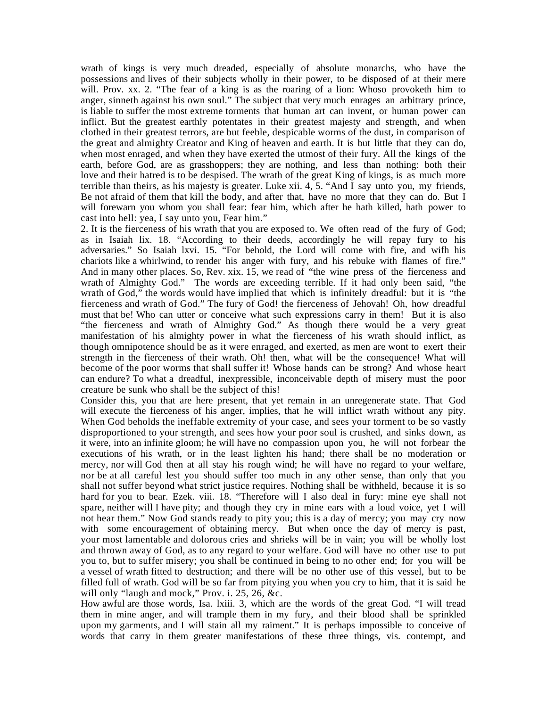wrath of kings is very much dreaded, especially of absolute monarchs, who have the possessions and lives of their subjects wholly in their power, to be disposed of at their mere will. Prov. xx. 2. "The fear of a king is as the roaring of a lion: Whoso provoketh him to anger, sinneth against his own soul." The subject that very much enrages an arbitrary prince, is liable to suffer the most extreme torments that human art can invent, or human power can inflict. But the greatest earthly potentates in their greatest majesty and strength, and when clothed in their greatest terrors, are but feeble, despicable worms of the dust, in comparison of the great and almighty Creator and King of heaven and earth. It is but little that they can do, when most enraged, and when they have exerted the utmost of their fury. All the kings of the earth, before God, are as grasshoppers; they are nothing, and less than nothing: both their love and their hatred is to be despised. The wrath of the great King of kings, is as much more terrible than theirs, as his majesty is greater. Luke xii. 4, 5. "And I say unto you, my friends, Be not afraid of them that kill the body, and after that, have no more that they can do. But I will forewarn you whom you shall fear: fear him, which after he hath killed, hath power to cast into hell: yea, I say unto you, Fear him."

2. It is the fierceness of his wrath that you are exposed to. We often read of the fury of God; as in Isaiah lix. 18. "According to their deeds, accordingly he will repay fury to his adversaries." So Isaiah lxvi. 15. "For behold, the Lord will come with fire, and wifh his chariots like a whirlwind, to render his anger with fury, and his rebuke with flames of fire." And in many other places. So, Rev. xix. 15, we read of "the wine press of the fierceness and wrath of Almighty God." The words are exceeding terrible. If it had only been said, "the wrath of God," the words would have implied that which is infinitely dreadful: but it is "the fierceness and wrath of God." The fury of God! the fierceness of Jehovah! Oh, how dreadful must that be! Who can utter or conceive what such expressions carry in them! But it is also "the fierceness and wrath of Almighty God." As though there would be a very great manifestation of his almighty power in what the fierceness of his wrath should inflict, as though omnipotence should be as it were enraged, and exerted, as men are wont to exert their strength in the fierceness of their wrath. Oh! then, what will be the consequence! What will become of the poor worms that shall suffer it! Whose hands can be strong? And whose heart can endure? To what a dreadful, inexpressible, inconceivable depth of misery must the poor creature be sunk who shall be the subject of this!

Consider this, you that are here present, that yet remain in an unregenerate state. That God will execute the fierceness of his anger, implies, that he will inflict wrath without any pity. When God beholds the ineffable extremity of your case, and sees your torment to be so vastly disproportioned to your strength, and sees how your poor soul is crushed, and sinks down, as it were, into an infinite gloom; he will have no compassion upon you, he will not forbear the executions of his wrath, or in the least lighten his hand; there shall be no moderation or mercy, nor will God then at all stay his rough wind; he will have no regard to your welfare, nor be at all careful lest you should suffer too much in any other sense, than only that you shall not suffer beyond what strict justice requires. Nothing shall be withheld, because it is so hard for you to bear. Ezek. viii. 18. "Therefore will I also deal in fury: mine eye shall not spare, neither will I have pity; and though they cry in mine ears with a loud voice, yet I will not hear them." Now God stands ready to pity you; this is a day of mercy; you may cry now with some encouragement of obtaining mercy. But when once the day of mercy is past, your most lamentable and dolorous cries and shrieks will be in vain; you will be wholly lost and thrown away of God, as to any regard to your welfare. God will have no other use to put you to, but to suffer misery; you shall be continued in being to no other end; for you will be a vessel of wrath fitted to destruction; and there will be no other use of this vessel, but to be filled full of wrath. God will be so far from pitying you when you cry to him, that it is said he will only "laugh and mock," Prov. i. 25, 26, &c.

How awful are those words, Isa. lxiii. 3, which are the words of the great God. "I will tread them in mine anger, and will trample them in my fury, and their blood shall be sprinkled upon my garments, and I will stain all my raiment." It is perhaps impossible to conceive of words that carry in them greater manifestations of these three things, vis. contempt, and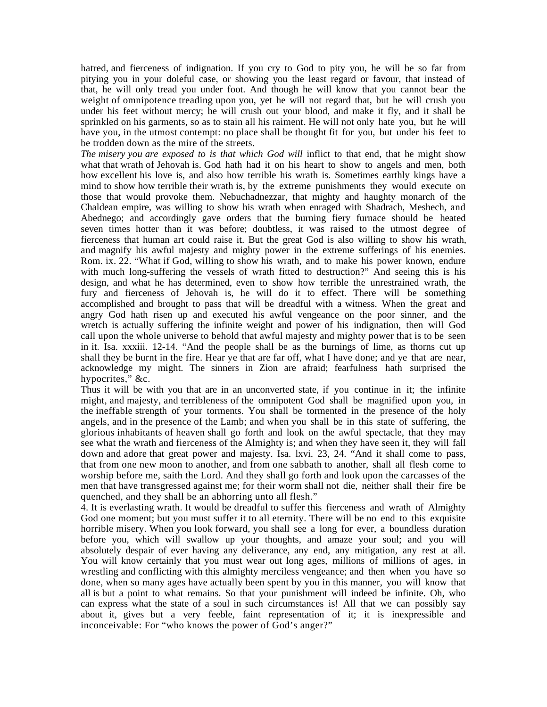hatred, and fierceness of indignation. If you cry to God to pity you, he will be so far from pitying you in your doleful case, or showing you the least regard or favour, that instead of that, he will only tread you under foot. And though he will know that you cannot bear the weight of omnipotence treading upon you, yet he will not regard that, but he will crush you under his feet without mercy; he will crush out your blood, and make it fly, and it shall be sprinkled on his garments, so as to stain all his raiment. He will not only hate you, but he will have you, in the utmost contempt: no place shall be thought fit for you, but under his feet to be trodden down as the mire of the streets.

*The misery you are exposed to is that which God will inflict to that end, that he might show* what that wrath of Jehovah is. God hath had it on his heart to show to angels and men, both how excellent his love is, and also how terrible his wrath is. Sometimes earthly kings have a mind to show how terrible their wrath is, by the extreme punishments they would execute on those that would provoke them. Nebuchadnezzar, that mighty and haughty monarch of the Chaldean empire, was willing to show his wrath when enraged with Shadrach, Meshech, and Abednego; and accordingly gave orders that the burning fiery furnace should be heated seven times hotter than it was before; doubtless, it was raised to the utmost degree of fierceness that human art could raise it. But the great God is also willing to show his wrath, and magnify his awful majesty and mighty power in the extreme sufferings of his enemies. Rom. ix. 22. "What if God, willing to show his wrath, and to make his power known, endure with much long-suffering the vessels of wrath fitted to destruction?" And seeing this is his design, and what he has determined, even to show how terrible the unrestrained wrath, the fury and fierceness of Jehovah is, he will do it to effect. There will be something accomplished and brought to pass that will be dreadful with a witness. When the great and angry God hath risen up and executed his awful vengeance on the poor sinner, and the wretch is actually suffering the infinite weight and power of his indignation, then will God call upon the whole universe to behold that awful majesty and mighty power that is to be seen in it. Isa. xxxiii. 12-14. "And the people shall be as the burnings of lime, as thorns cut up shall they be burnt in the fire. Hear ye that are far off, what I have done; and ye that are near, acknowledge my might. The sinners in Zion are afraid; fearfulness hath surprised the hypocrites," &c.

Thus it will be with you that are in an unconverted state, if you continue in it; the infinite might, and majesty, and terribleness of the omnipotent God shall be magnified upon you, in the ineffable strength of your torments. You shall be tormented in the presence of the holy angels, and in the presence of the Lamb; and when you shall be in this state of suffering, the glorious inhabitants of heaven shall go forth and look on the awful spectacle, that they may see what the wrath and fierceness of the Almighty is; and when they have seen it, they will fall down and adore that great power and majesty. Isa. lxvi. 23, 24. "And it shall come to pass, that from one new moon to another, and from one sabbath to another, shall all flesh come to worship before me, saith the Lord. And they shall go forth and look upon the carcasses of the men that have transgressed against me; for their worm shall not die, neither shall their fire be quenched, and they shall be an abhorring unto all flesh."

4. It is everlasting wrath. It would be dreadful to suffer this fierceness and wrath of Almighty God one moment; but you must suffer it to all eternity. There will be no end to this exquisite horrible misery. When you look forward, you shall see a long for ever, a boundless duration before you, which will swallow up your thoughts, and amaze your soul; and you will absolutely despair of ever having any deliverance, any end, any mitigation, any rest at all. You will know certainly that you must wear out long ages, millions of millions of ages, in wrestling and conflicting with this almighty merciless vengeance; and then when you have so done, when so many ages have actually been spent by you in this manner, you will know that all is but a point to what remains. So that your punishment will indeed be infinite. Oh, who can express what the state of a soul in such circumstances is! All that we can possibly say about it, gives but a very feeble, faint representation of it; it is inexpressible and inconceivable: For "who knows the power of God's anger?"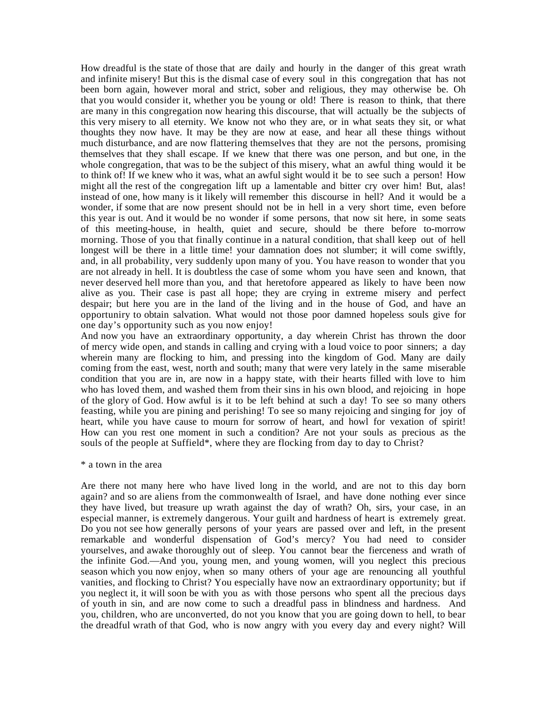How dreadful is the state of those that are daily and hourly in the danger of this great wrath and infinite misery! But this is the dismal case of every soul in this congregation that has not been born again, however moral and strict, sober and religious, they may otherwise be. Oh that you would consider it, whether you be young or old! There is reason to think, that there are many in this congregation now hearing this discourse, that will actually be the subjects of this very misery to all eternity. We know not who they are, or in what seats they sit, or what thoughts they now have. It may be they are now at ease, and hear all these things without much disturbance, and are now flattering themselves that they are not the persons, promising themselves that they shall escape. If we knew that there was one person, and but one, in the whole congregation, that was to be the subject of this misery, what an awful thing would it be to think of! If we knew who it was, what an awful sight would it be to see such a person! How might all the rest of the congregation lift up a lamentable and bitter cry over him! But, alas! instead of one, how many is it likely will remember this discourse in hell? And it would be a wonder, if some that are now present should not be in hell in a very short time, even before this year is out. And it would be no wonder if some persons, that now sit here, in some seats of this meeting-house, in health, quiet and secure, should be there before to-morrow morning. Those of you that finally continue in a natural condition, that shall keep out of hell longest will be there in a little time! your damnation does not slumber; it will come swiftly, and, in all probability, very suddenly upon many of you. You have reason to wonder that you are not already in hell. It is doubtless the case of some whom you have seen and known, that never deserved hell more than you, and that heretofore appeared as likely to have been now alive as you. Their case is past all hope; they are crying in extreme misery and perfect despair; but here you are in the land of the living and in the house of God, and have an opportuniry to obtain salvation. What would not those poor damned hopeless souls give for one day's opportunity such as you now enjoy!

And now you have an extraordinary opportunity, a day wherein Christ has thrown the door of mercy wide open, and stands in calling and crying with a loud voice to poor sinners; a day wherein many are flocking to him, and pressing into the kingdom of God. Many are daily coming from the east, west, north and south; many that were very lately in the same miserable condition that you are in, are now in a happy state, with their hearts filled with love to him who has loved them, and washed them from their sins in his own blood, and rejoicing in hope of the glory of God. How awful is it to be left behind at such a day! To see so many others feasting, while you are pining and perishing! To see so many rejoicing and singing for joy of heart, while you have cause to mourn for sorrow of heart, and howl for vexation of spirit! How can you rest one moment in such a condition? Are not your souls as precious as the souls of the people at Suffield\*, where they are flocking from day to day to Christ?

#### \* a town in the area

Are there not many here who have lived long in the world, and are not to this day born again? and so are aliens from the commonwealth of Israel, and have done nothing ever since they have lived, but treasure up wrath against the day of wrath? Oh, sirs, your case, in an especial manner, is extremely dangerous. Your guilt and hardness of heart is extremely great. Do you not see how generally persons of your years are passed over and left, in the present remarkable and wonderful dispensation of God's mercy? You had need to consider yourselves, and awake thoroughly out of sleep. You cannot bear the fierceness and wrath of the infinite God.—And you, young men, and young women, will you neglect this precious season which you now enjoy, when so many others of your age are renouncing all youthful vanities, and flocking to Christ? You especially have now an extraordinary opportunity; but if you neglect it, it will soon be with you as with those persons who spent all the precious days of youth in sin, and are now come to such a dreadful pass in blindness and hardness. And you, children, who are unconverted, do not you know that you are going down to hell, to bear the dreadful wrath of that God, who is now angry with you every day and every night? Will